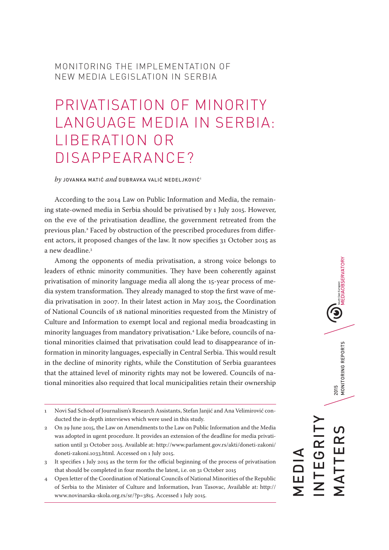### MONITORING THE IMPLEMENTATION OF NEW MEDIA LEGISLATION IN SERBIA

# PRIVATISATION OF MINORITY LANGUAGE MEDIA IN SERBIA: LIBERATION OR DISAPPEARANCE?

*by* JOVANKA MATIĆ *and* DUBRAVKA VALIĆ NEDELJKOVIĆ1

According to the 2014 Law on Public Information and Media, the remaining state-owned media in Serbia should be privatised by 1 July 2015. However, on the eve of the privatisation deadline, the government retreated from the previous plan.2 Faced by obstruction of the prescribed procedures from different actors, it proposed changes of the law. It now specifies 31 October 2015 as a new deadline.3

Among the opponents of media privatisation, a strong voice belongs to leaders of ethnic minority communities. They have been coherently against privatisation of minority language media all along the 15-year process of media system transformation. They already managed to stop the first wave of media privatisation in 2007. In their latest action in May 2015, the Coordination of National Councils of 18 national minorities requested from the Ministry of Culture and Information to exempt local and regional media broadcasting in minority languages from mandatory privatisation.4 Like before, councils of national minorities claimed that privatisation could lead to disappearance of information in minority languages, especially in Central Serbia. This would result in the decline of minority rights, while the Constitution of Serbia guarantees that the attained level of minority rights may not be lowered. Councils of national minorities also required that local municipalities retain their ownership

- 2 On 29 June 2015, the Law on Amendments to the Law on Public Information and the Media was adopted in ugent procedure. It provides an extension of the deadline for media privatisation until 31 October 2015. Available at: http://www.parlament.gov.rs/akti/doneti-zakoni/ doneti-zakoni.1033.html. Accessed on 1 July 2015.
- 3 It specifies 1 July 2015 as the term for the official beginning of the process of privatisation that should be completed in four months the latest, i.e. on 31 October 2015
- 4 Open letter of the Coordination of National Councils of National Minorities of the Republic of Serbia to the Minister of Culture and Information, Ivan Tasovac, Available at: http:// www.novinarska-skola.org.rs/sr/?p=3815. Accessed 1 July 2015.

South East European<br>MEDIAOBSERVATORY 2015<br>MONITORING REPORTS MATTERS 2015 MONITORING REPORTS INTEGRITY  $\Omega$ TTER NTEGRI MEDIA —<br>Г<br>Г

<sup>1</sup> Novi Sad School of Journalism's Research Assistants, Stefan Janjić and Ana Velimirović conducted the in-depth interviews which were used in this study.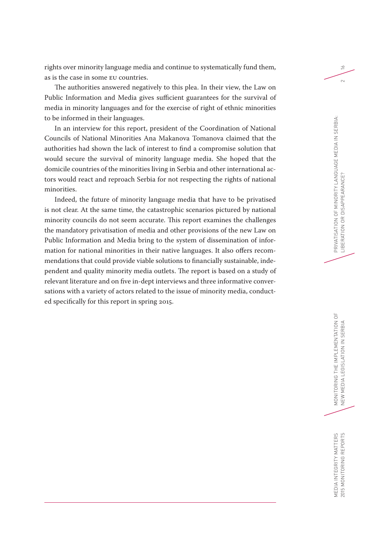rights over minority language media and continue to systematically fund them, as is the case in some EU countries.

The authorities answered negatively to this plea. In their view, the Law on Public Information and Media gives sufficient guarantees for the survival of media in minority languages and for the exercise of right of ethnic minorities to be informed in their languages.

In an interview for this report, president of the Coordination of National Councils of National Minorities Ana Makanova Tomanova claimed that the authorities had shown the lack of interest to find a compromise solution that would secure the survival of minority language media. She hoped that the domicile countries of the minorities living in Serbia and other international actors would react and reproach Serbia for not respecting the rights of national minorities.

Indeed, the future of minority language media that have to be privatised is not clear. At the same time, the catastrophic scenarios pictured by national minority councils do not seem accurate. This report examines the challenges the mandatory privatisation of media and other provisions of the new Law on Public Information and Media bring to the system of dissemination of information for national minorities in their native languages. It also offers recommendations that could provide viable solutions to financially sustainable, independent and quality minority media outlets. The report is based on a study of relevant literature and on five in-dept interviews and three informative conversations with a variety of actors related to the issue of minority media, conducted specifically for this report in spring 2015.

 $\geq$ 

 $\sim$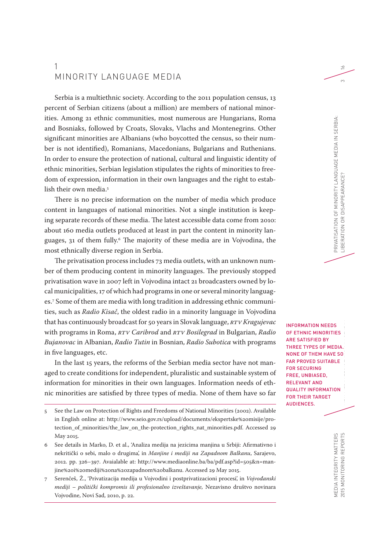### 1 MINORITY LANGUAGE MEDIA

Serbia is a multiethnic society. According to the 2011 population census, 13 percent of Serbian citizens (about a million) are members of national minorities. Among 21 ethnic communities, most numerous are Hungarians, Roma and Bosniaks, followed by Croats, Slovaks, Vlachs and Montenegrins. Other significant minorities are Albanians (who boycotted the census, so their number is not identified), Romanians, Macedonians, Bulgarians and Ruthenians. In order to ensure the protection of national, cultural and linguistic identity of ethnic minorities, Serbian legislation stipulates the rights of minorities to freedom of expression, information in their own languages and the right to establish their own media.<sup>5</sup>

There is no precise information on the number of media which produce content in languages of national minorities. Not a single institution is keeping separate records of these media. The latest accessible data come from 2010: about 160 media outlets produced at least in part the content in minority languages, 31 of them fully.6 The majority of these media are in Vojvodina, the most ethnically diverse region in Serbia.

The privatisation process includes 73 media outlets, with an unknown number of them producing content in minority languages. The previously stopped privatisation wave in 2007 left in Vojvodina intact 21 broadcasters owned by local municipalities, 17 of which had programs in one or several minority languages.7 Some of them are media with long tradition in addressing ethnic communities, such as *Radio Kisač*, the oldest radio in a minority language in Vojvodina that has continuously broadcast for 50 years in Slovak language, *RTV Kragujevac* with programs in Roma, *RTV Caribrod* and *RTV Bosilegrad* in Bulgarian, *Radio Bujanovac* in Albanian, *Radio Tutin* in Bosnian, *Radio Subotica* with programs in five languages, etc.

In the last 15 years, the reforms of the Serbian media sector have not managed to create conditions for independent, pluralistic and sustainable system of information for minorities in their own languages. Information needs of ethnic minorities are satisfied by three types of media. None of them have so far

- 6 See details in Marko, D. et al., 'Analiza medija na jezicima manjina u Srbiji: Afirmativno i nekritički o sebi, malo o drugima', in *Manjine i mediji na Zapadnom Balkanu*, Sarajevo, 2012. pp. 326–397. Avaialable at: http://www.mediaonline.ba/ba/pdf.asp?id=505&n=manjine%20i%20mediji%20na%20zapadnom%20balkanu. Accessed 29 May 2015.
- 7 Serenčeš, Ž., 'Privatizacija medija u Vojvodini i postprivatizacioni procesi', in *Vojvođanski mediji – politički kompromis ili profesionalno izveštavanje,* Nezavisno društvo novinara Vojvodine, Novi Sad, 2010, p. 22.

SIE DE LEER OF DE SAN DIE SOME |<br>|<br>| O INFORMATION NEEDS OF ETHNIC MINORITIES ARE SATISFIED BY THREE TYPES OF MEDIA. NONE OF THEM HAVE SO FAR PROVED SUITABLE FOR SECURING FREE, UNBIASED, RELEVANT AND QUALITY INFORMATION FOR THEIR TARGET AUDIENCES.

 $\geq$ 

<sup>5</sup> See the Law on Protection of Rights and Freedoms of National Minorities (2002). Available in English online at: http://www.seio.gov.rs/upload/documents/ekspertske%20misije/protection of minorities/the law on the-protection rights nat minorities.pdf. Accessed 29 May 2015.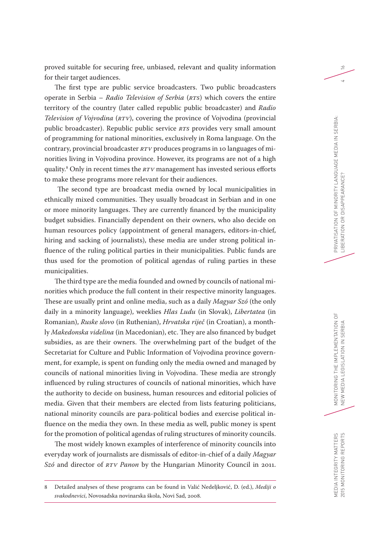proved suitable for securing free, unbiased, relevant and quality information for their target audiences.

The first type are public service broadcasters. Two public broadcasters operate in Serbia – *Radio Television of Serbia* (*RTS*) which covers the entire territory of the country (later called republic public broadcaster) and *Radio Television of Vojvodina* (*RTV*), covering the province of Vojvodina (provincial public broadcaster). Republic public service *RTS* provides very small amount of programming for national minorities, exclusively in Roma language. On the contrary, provincial broadcaster *RTV* produces programs in 10 languages of minorities living in Vojvodina province. However, its programs are not of a high quality.8 Only in recent times the *RTV* management has invested serious efforts to make these programs more relevant for their audiences.

 The second type are broadcast media owned by local municipalities in ethnically mixed communities. They usually broadcast in Serbian and in one or more minority languages. They are currently financed by the municipality budget subsidies. Financially dependent on their owners, who also decide on human resources policy (appointment of general managers, editors-in-chief, hiring and sacking of journalists), these media are under strong political influence of the ruling political parties in their municipalities. Public funds are thus used for the promotion of political agendas of ruling parties in these municipalities.

The third type are the media founded and owned by councils of national minorities which produce the full content in their respective minority languages. These are usually print and online media, such as a daily *Magyar Szó* (the only daily in a minority language), weeklies *Hlas Ludu* (in Slovak), *Libertatea* (in Romanian), *Ruske slovo* (in Ruthenian), *Hrvatska riječ* (in Croatian), a monthly *Makedonska videlina* (in Macedonian), etc. They are also financed by budget subsidies, as are their owners. The overwhelming part of the budget of the Secretariat for Culture and Public Information of Vojvodina province government, for example, is spent on funding only the media owned and managed by councils of national minorities living in Vojvodina. These media are strongly influenced by ruling structures of councils of national minorities, which have the authority to decide on business, human resources and editorial policies of media. Given that their members are elected from lists featuring politicians, national minority councils are para-political bodies and exercise political influence on the media they own. In these media as well, public money is spent for the promotion of political agendas of ruling structures of minority councils.

The most widely known examples of interference of minority councils into everyday work of journalists are dismissals of editor-in-chief of a daily *Magyar Szó* and director of *RTV Panon* by the Hungarian Minority Council in 2011.

 $\geq$ 

<sup>8</sup> Detailed analyses of these programs can be found in Valić Nedeljković, D. (ed.), *Mediji o svakodnevici*, Novosadska novinarska škola, Novi Sad, 2008.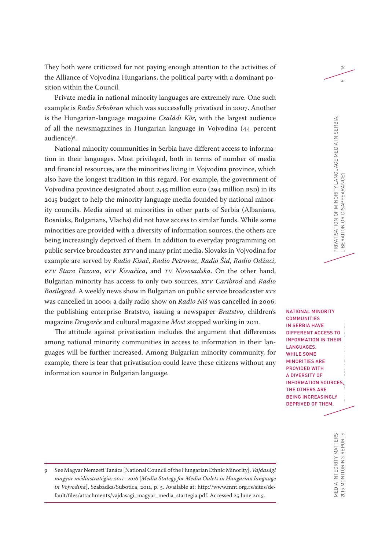They both were criticized for not paying enough attention to the activities of the Alliance of Vojvodina Hungarians, the political party with a dominant position within the Council.

Private media in national minority languages are extremely rare. One such example is *Radio Srbobran* which was successfully privatised in 2007. Another is the Hungarian-language magazine *Családi Kör*, with the largest audience of all the newsmagazines in Hungarian language in Vojvodina (44 percent audience)<sup>9</sup>.

National minority communities in Serbia have different access to information in their languages. Most privileged, both in terms of number of media and financial resources, are the minorities living in Vojvodina province, which also have the longest tradition in this regard. For example, the government of Vojvodina province designated about 2,45 million euro (294 million RSD) in its 2015 budget to help the minority language media founded by national minority councils. Media aimed at minorities in other parts of Serbia (Albanians, Bosniaks, Bulgarians, Vlachs) did not have access to similar funds. While some minorities are provided with a diversity of information sources, the others are being increasingly deprived of them. In addition to everyday programming on public service broadcaster *RTV* and many print media, Slovaks in Vojvodina for example are served by *Radio Kisač*, *Radio Petrovac*, *Radio Šid*, *Radio Odžaci*, *RTV Stara Pazova*, *RTV Kovačica*, and *TV Novosadska*. On the other hand, Bulgarian minority has access to only two sources, *RTV Caribrod* and *Radio Bosilegrad*. A weekly news show in Bulgarian on public service broadcaster *RTS* was cancelled in 2000; a daily radio show on *Radio Niš* was cancelled in 2006; the publishing enterprise Bratstvo, issuing a newspaper *Bratstvo*, children's magazine *Drugarče* and cultural magazine *Most* stopped working in 2011.

The attitude against privatisation includes the argument that differences among national minority communities in access to information in their languages will be further increased. Among Bulgarian minority community, for example, there is fear that privatisation could leave these citizens without any information source in Bulgarian language.

TEI<br>C<br>Y  $\mathsf{S}_{\mathsf{S}}$ NATIONAL MINORITY **COMMUNITIES** IN SERBIA HAVE DIFFERENT ACCESS TO INFORMATION IN THEIR LANGUAGES. WHILE SOME MINORITIES ARE PROVIDED WITH A DIVERSITY OF INFORMATION SOURCES, THE OTHERS ARE BEING INCREASINGLY DEPRIVED OF THEM.

 $\geq$ 

MEDIA INTEGRITY MATTERS<br>2015 MONITORING REPORTS MEDIA INTEGRITY MATTERS 2015 MONITORING REPORTS

9 See Magyar Nemzeti Tanács [National Council of the Hungarian Ethnic Minority], *Vajdasági magyar médiastratégia: 2011–2016* [*Media Stategy for Media Oulets in Hungarian language in Vojvodina*], Szabadka/Subotica, 2011, p. 5. Available at: http://www.mnt.org.rs/sites/default/files/attachments/vajdasagi\_magyar\_media\_startegia.pdf. Accessed 25 June 2015.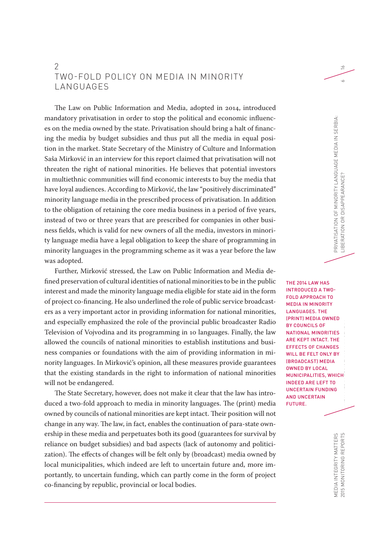### 2 TWO-FOLD POLICY ON MEDIA IN MINORITY **LANGUAGES**

The Law on Public Information and Media, adopted in 2014, introduced mandatory privatisation in order to stop the political and economic influences on the media owned by the state. Privatisation should bring a halt of financing the media by budget subsidies and thus put all the media in equal position in the market. State Secretary of the Ministry of Culture and Information Saša Mirković in an interview for this report claimed that privatisation will not threaten the right of national minorities. He believes that potential investors in multiethnic communities will find economic interests to buy the media that have loyal audiences. According to Mirković, the law "positively discriminated" minority language media in the prescribed process of privatisation. In addition to the obligation of retaining the core media business in a period of five years, instead of two or three years that are prescribed for companies in other business fields, which is valid for new owners of all the media, investors in minority language media have a legal obligation to keep the share of programming in minority languages in the programming scheme as it was a year before the law was adopted.

Further, Mirković stressed, the Law on Public Information and Media defined preservation of cultural identities of national minorities to be in the public interest and made the minority language media eligible for state aid in the form of project co-financing. He also underlined the role of public service broadcasters as a very important actor in providing information for national minorities, and especially emphasized the role of the provincial public broadcaster Radio Television of Vojvodina and its programming in 10 languages. Finally, the law allowed the councils of national minorities to establish institutions and business companies or foundations with the aim of providing information in minority languages. In Mirković's opinion, all these measures provide guarantees that the existing standards in the right to information of national minorities will not be endangered.

The State Secretary, however, does not make it clear that the law has introduced a two-fold approach to media in minority languages. The (print) media owned by councils of national minorities are kept intact. Their position will not change in any way. The law, in fact, enables the continuation of para-state ownership in these media and perpetuates both its good (guarantees for survival by reliance on budget subsidies) and bad aspects (lack of autonomy and politicization). The effects of changes will be felt only by (broadcast) media owned by local municipalities, which indeed are left to uncertain future and, more importantly, to uncertain funding, which can partly come in the form of project co-financing by republic, provincial or local bodies.

EI EIHIEN BIJ HID G NEW MEDIA LEGISlati<br>New Media THE 2014 LAW HAS INTRODUCED A TWO-FOLD APPROACH TO MEDIA IN MINORITY LANGUAGES. THE (PRINT) MEDIA OWNED BY COUNCILS OF NATIONAL MINORITIES ARE KEPT INTACT. THE EFFECTS OF CHANGES WILL BE FELT ONLY BY (BROADCAST) MEDIA OWNED BY LOCAL MUNICIPALITIES, WHICH INDEED ARE LEFT TO UNCERTAIN FUNDING AND UNCERTAIN FUTURE.

 $\approx$ 

 $\sim$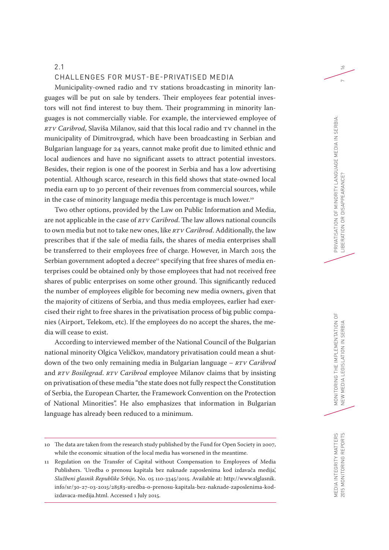#### 2.1

#### CHALLENGES FOR MUST-BE-PRIVATISED MEDIA

Municipality-owned radio and TV stations broadcasting in minority languages will be put on sale by tenders. Their employees fear potential investors will not find interest to buy them. Their programming in minority languages is not commercially viable. For example, the interviewed employee of *RTV Caribrod*, Slaviša Milanov, said that this local radio and TV channel in the municipality of Dimitrovgrad, which have been broadcasting in Serbian and Bulgarian language for 24 years, cannot make profit due to limited ethnic and local audiences and have no significant assets to attract potential investors. Besides, their region is one of the poorest in Serbia and has a low advertising potential. Although scarce, research in this field shows that state-owned local media earn up to 30 percent of their revenues from commercial sources, while in the case of minority language media this percentage is much lower.<sup>10</sup>

Two other options, provided by the Law on Public Information and Media, are not applicable in the case of *RTV Caribrod*. The law allows national councils to own media but not to take new ones, like *RTV Caribrod*. Additionally, the law prescribes that if the sale of media fails, the shares of media enterprises shall be transferred to their employees free of charge. However, in March 2015 the Serbian government adopted a decree<sup>11</sup> specifying that free shares of media enterprises could be obtained only by those employees that had not received free shares of public enterprises on some other ground. This significantly reduced the number of employees eligible for becoming new media owners, given that the majority of citizens of Serbia, and thus media employees, earlier had exercised their right to free shares in the privatisation process of big public companies (Airport, Telekom, etc). If the employees do no accept the shares, the media will cease to exist.

According to interviewed member of the National Council of the Bulgarian national minority Olgica Veličkov, mandatory privatisation could mean a shutdown of the two only remaining media in Bulgarian language – *RTV Caribrod* and *RTV Bosilegrad*. *RTV Caribrod* employee Milanov claims that by insisting on privatisation of these media "the state does not fully respect the Constitution of Serbia, the European Charter, the Framework Convention on the Protection of National Minorities". He also emphasizes that information in Bulgarian language has already been reduced to a minimum.

 $\approx$ 

 $\sim$ 

<sup>10</sup> The data are taken from the research study published by the Fund for Open Society in 2007, while the economic situation of the local media has worsened in the meantime.

<sup>11</sup> Regulation on the Transfer of Capital without Compensation to Employees of Media Publishers. 'Uredba o prenosu kapitala bez naknade zaposlenima kod izdavača medija', *Službeni glasnik Republike Srbije,* No. 05 110-3345/2015. Available at: http://www.slglasnik. info/sr/30-27-03-2015/28583-uredba-o-prenosu-kapitala-bez-naknade-zaposlenima-kodizdavaca-medija.html. Accessed 1 July 2015.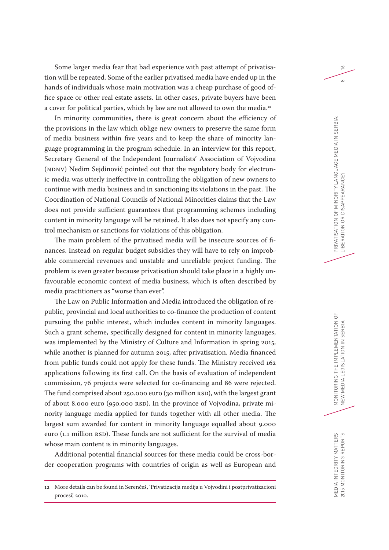Some larger media fear that bad experience with past attempt of privatisation will be repeated. Some of the earlier privatised media have ended up in the hands of individuals whose main motivation was a cheap purchase of good office space or other real estate assets. In other cases, private buyers have been a cover for political parties, which by law are not allowed to own the media.<sup>12</sup>

In minority communities, there is great concern about the efficiency of the provisions in the law which oblige new owners to preserve the same form of media business within five years and to keep the share of minority language programming in the program schedule. In an interview for this report, Secretary General of the Independent Journalists' Association of Vojvodina (NDNV) Nedim Sejdinović pointed out that the regulatory body for electronic media was utterly ineffective in controlling the obligation of new owners to continue with media business and in sanctioning its violations in the past. The Coordination of National Councils of National Minorities claims that the Law does not provide sufficient guarantees that programming schemes including content in minority language will be retained. It also does not specify any control mechanism or sanctions for violations of this obligation.

The main problem of the privatised media will be insecure sources of finances. Instead on regular budget subsidies they will have to rely on improbable commercial revenues and unstable and unreliable project funding. The problem is even greater because privatisation should take place in a highly unfavourable economic context of media business, which is often described by media practitioners as "worse than ever".

The Law on Public Information and Media introduced the obligation of republic, provincial and local authorities to co-finance the production of content pursuing the public interest, which includes content in minority languages. Such a grant scheme, specifically designed for content in minority languages, was implemented by the Ministry of Culture and Information in spring 2015, while another is planned for autumn 2015, after privatisation. Media financed from public funds could not apply for these funds. The Ministry received 162 applications following its first call. On the basis of evaluation of independent commission, 76 projects were selected for co-financing and 86 were rejected. The fund comprised about 250.000 euro (30 million RSD), with the largest grant of about 8.000 euro (950.000 RSD). In the province of Vojvodina, private minority language media applied for funds together with all other media. The largest sum awarded for content in minority language equalled about 9.000 euro (1.1 million RSD). These funds are not sufficient for the survival of media whose main content is in minority languages.

Additional potential financial sources for these media could be cross-border cooperation programs with countries of origin as well as European and  $\geq$ 

 $\infty$ 

<sup>12</sup> More details can be found in Serenčeš, 'Privatizacija medija u Vojvodini i postprivatizacioni procesi', 2010.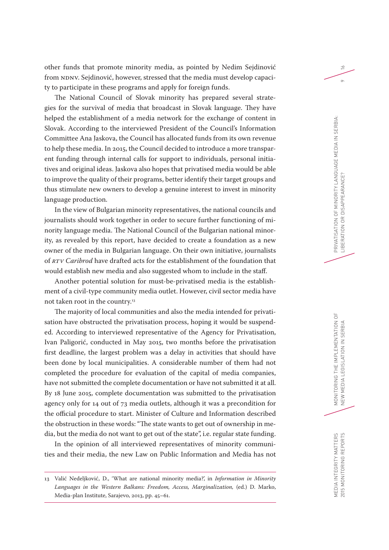other funds that promote minority media, as pointed by Nedim Sejdinović from NDNV. Sejdinović, however, stressed that the media must develop capacity to participate in these programs and apply for foreign funds.

The National Council of Slovak minority has prepared several strategies for the survival of media that broadcast in Slovak language. They have helped the establishment of a media network for the exchange of content in Slovak. According to the interviewed President of the Council's Information Committee Ana Jaskova, the Council has allocated funds from its own revenue to help these media. In 2015, the Council decided to introduce a more transparent funding through internal calls for support to individuals, personal initiatives and original ideas. Jaskova also hopes that privatised media would be able to improve the quality of their programs, better identify their target groups and thus stimulate new owners to develop a genuine interest to invest in minority language production.

In the view of Bulgarian minority representatives, the national councils and journalists should work together in order to secure further functioning of minority language media. The National Council of the Bulgarian national minority, as revealed by this report, have decided to create a foundation as a new owner of the media in Bulgarian language. On their own initiative, journalists of *RTV Caribrod* have drafted acts for the establishment of the foundation that would establish new media and also suggested whom to include in the staff.

Another potential solution for must-be-privatised media is the establishment of a civil-type community media outlet. However, civil sector media have not taken root in the country.<sup>13</sup>

The majority of local communities and also the media intended for privatisation have obstructed the privatisation process, hoping it would be suspended. According to interviewed representative of the Agency for Privatisation, Ivan Paligorić, conducted in May 2015, two months before the privatisation first deadline, the largest problem was a delay in activities that should have been done by local municipalities. A considerable number of them had not completed the procedure for evaluation of the capital of media companies, have not submitted the complete documentation or have not submitted it at all. By 18 June 2015, complete documentation was submitted to the privatisation agency only for 14 out of 73 media outlets, although it was a precondition for the official procedure to start. Minister of Culture and Information described the obstruction in these words: "The state wants to get out of ownership in media, but the media do not want to get out of the state", i.e. regular state funding.

In the opinion of all interviewed representatives of minority communities and their media, the new Law on Public Information and Media has not  $\geq$ 

 $\circ$ 

MEDIA INTEGRITY MATTERS 2015 MONITORING REPORTS

MEDIA INTEGRITY MATTERS 2015 MONITORING REPORTS

<sup>13</sup> Valić Nedeljković, D., 'What are national minority media?', in *Information in Minority Languages in the Western Balkans: Freedom, Access, Marginalization,* (ed.) D. Marko, Media-plan Institute, Sarajevo, 2013, pp. 45–61.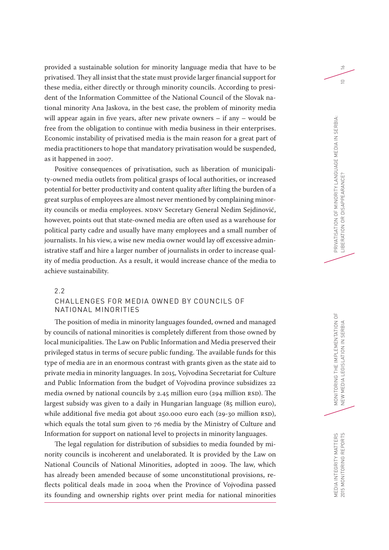provided a sustainable solution for minority language media that have to be privatised. They all insist that the state must provide larger financial support for these media, either directly or through minority councils. According to president of the Information Committee of the National Council of the Slovak national minority Ana Jaskova, in the best case, the problem of minority media will appear again in five years, after new private owners – if any – would be free from the obligation to continue with media business in their enterprises. Economic instability of privatised media is the main reason for a great part of media practitioners to hope that mandatory privatisation would be suspended, as it happened in 2007.

Positive consequences of privatisation, such as liberation of municipality-owned media outlets from political grasps of local authorities, or increased potential for better productivity and content quality after lifting the burden of a great surplus of employees are almost never mentioned by complaining minority councils or media employees. NDNV Secretary General Nedim Sejdinović, however, points out that state-owned media are often used as a warehouse for political party cadre and usually have many employees and a small number of journalists. In his view, a wise new media owner would lay off excessive administrative staff and hire a larger number of journalists in order to increase quality of media production. As a result, it would increase chance of the media to achieve sustainability.

#### 2.2 CHALLENGES FOR MEDIA OWNED BY COUNCILS OF NATIONAL MINORITIES

The position of media in minority languages founded, owned and managed by councils of national minorities is completely different from those owned by local municipalities. The Law on Public Information and Media preserved their privileged status in terms of secure public funding. The available funds for this type of media are in an enormous contrast with grants given as the state aid to private media in minority languages. In 2015, Vojvodina Secretariat for Culture and Public Information from the budget of Vojvodina province subsidizes 22 media owned by national councils by 2.45 million euro (294 million RSD). The largest subsidy was given to a daily in Hungarian language (85 million euro), while additional five media got about 250.000 euro each (29-30 million RSD), which equals the total sum given to 76 media by the Ministry of Culture and Information for support on national level to projects in minority languages.

The legal regulation for distribution of subsidies to media founded by minority councils is incoherent and unelaborated. It is provided by the Law on National Councils of National Minorities, adopted in 2009. The law, which has already been amended because of some unconstitutional provisions, reflects political deals made in 2004 when the Province of Vojvodina passed its founding and ownership rights over print media for national minorities  $\geq$ 

 $\supseteq$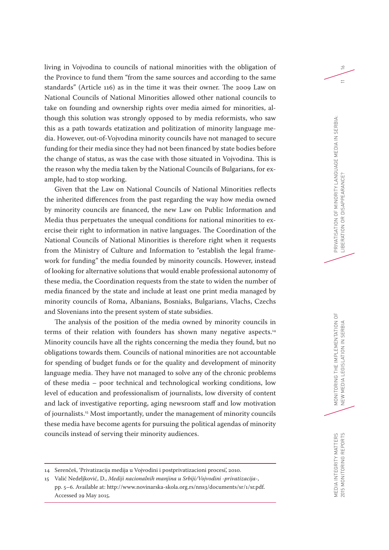living in Vojvodina to councils of national minorities with the obligation of the Province to fund them "from the same sources and according to the same standards" (Article 116) as in the time it was their owner. The 2009 Law on National Councils of National Minorities allowed other national councils to take on founding and ownership rights over media aimed for minorities, although this solution was strongly opposed to by media reformists, who saw this as a path towards etatization and politization of minority language media. However, out-of-Vojvodina minority councils have not managed to secure funding for their media since they had not been financed by state bodies before the change of status, as was the case with those situated in Vojvodina. This is the reason why the media taken by the National Councils of Bulgarians, for example, had to stop working.

Given that the Law on National Councils of National Minorities reflects the inherited differences from the past regarding the way how media owned by minority councils are financed, the new Law on Public Information and Media thus perpetuates the unequal conditions for national minorities to exercise their right to information in native languages. The Coordination of the National Councils of National Minorities is therefore right when it requests from the Ministry of Culture and Information to "establish the legal framework for funding" the media founded by minority councils. However, instead of looking for alternative solutions that would enable professional autonomy of these media, the Coordination requests from the state to widen the number of media financed by the state and include at least one print media managed by minority councils of Roma, Albanians, Bosniaks, Bulgarians, Vlachs, Czechs and Slovenians into the present system of state subsidies.

The analysis of the position of the media owned by minority councils in terms of their relation with founders has shown many negative aspects.<sup>14</sup> Minority councils have all the rights concerning the media they found, but no obligations towards them. Councils of national minorities are not accountable for spending of budget funds or for the quality and development of minority language media. They have not managed to solve any of the chronic problems of these media – poor technical and technological working conditions, low level of education and professionalism of journalists, low diversity of content and lack of investigative reporting, aging newsroom staff and low motivation of journalists.15 Most importantly, under the management of minority councils these media have become agents for pursuing the political agendas of minority councils instead of serving their minority audiences.

 $\geq$ 

 $=$ 

<sup>14</sup> Serenčeš, 'Privatizacija medija u Vojvodini i postprivatizacioni procesi', 2010.

<sup>15</sup> Valić Nedeljković, D., *Mediji nacionalnih manjina u Srbiji/Vojvodini -privatizacija*-, pp. 5–6. Available at: http://www.novinarska-skola.org.rs/nns3/documents/sr/1/sr.pdf. Accessed 29 May 2015.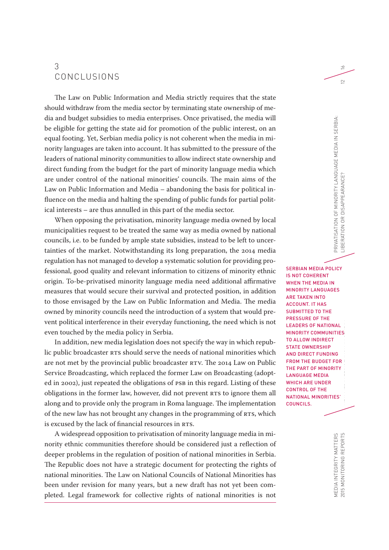### 3 CONCLUSIONS

The Law on Public Information and Media strictly requires that the state should withdraw from the media sector by terminating state ownership of media and budget subsidies to media enterprises. Once privatised, the media will be eligible for getting the state aid for promotion of the public interest, on an equal footing. Yet, Serbian media policy is not coherent when the media in minority languages are taken into account. It has submitted to the pressure of the leaders of national minority communities to allow indirect state ownership and direct funding from the budget for the part of minority language media which are under control of the national minorities' councils. The main aims of the Law on Public Information and Media – abandoning the basis for political influence on the media and halting the spending of public funds for partial political interests – are thus annulled in this part of the media sector.

When opposing the privatisation, minority language media owned by local municipalities request to be treated the same way as media owned by national councils, i.e. to be funded by ample state subsidies, instead to be left to uncertainties of the market. Notwithstanding its long preparation, the 2014 media regulation has not managed to develop a systematic solution for providing professional, good quality and relevant information to citizens of minority ethnic origin. To-be-privatised minority language media need additional affirmative measures that would secure their survival and protected position, in addition to those envisaged by the Law on Public Information and Media. The media owned by minority councils need the introduction of a system that would prevent political interference in their everyday functioning, the need which is not even touched by the media policy in Serbia.

In addition, new media legislation does not specify the way in which republic public broadcaster RTS should serve the needs of national minorities which are not met by the provincial public broadcaster RTV. The 2014 Law on Public Service Broadcasting, which replaced the former Law on Broadcasting (adopted in 2002), just repeated the obligations of PSB in this regard. Listing of these obligations in the former law, however, did not prevent RTS to ignore them all along and to provide only the program in Roma language. The implementation of the new law has not brought any changes in the programming of RTS, which is excused by the lack of financial resources in RTS.

A widespread opposition to privatisation of minority language media in minority ethnic communities therefore should be considered just a reflection of deeper problems in the regulation of position of national minorities in Serbia. The Republic does not have a strategic document for protecting the rights of national minorities. The Law on National Councils of National Minorities has been under revision for many years, but a new draft has not yet been completed. Legal framework for collective rights of national minorities is not

 $\geq$ 

 $\subseteq$ 

IA<br>Toring The IMPlex<br>Ex NEW MEDIA LEGISLATION IN SERBIA LEGISLATION IN 1999.<br>New Media Legislation In Serbia Legislation In Serbia Legislation In Serbia Legislation In Serbia Legislation<br>New York Legislation In Serbia Legislation In Serbia Legisl SERBIAN MEDIA POLICY IS NOT COHERENT WHEN THE MEDIA IN MINORITY LANGUAGES ARE TAKEN INTO ACCOUNT. IT HAS SUBMITTED TO THE PRESSURE OF THE LEADERS OF NATIONAL MINORITY COMMUNITIES TO ALLOW INDIRECT STATE OWNERSHIP AND DIRECT FUNDING FROM THE BUDGET FOR THE PART OF MINORITY LANGUAGE MEDIA WHICH ARE UNDER CONTROL OF THE NATIONAL MINORITIES' COUNCILS.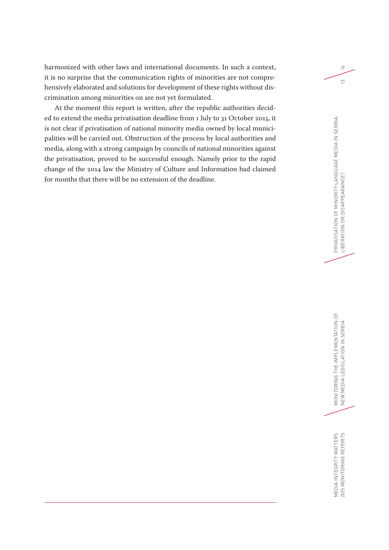harmonized with other laws and international documents. In such a context, it is no surprise that the communication rights of minorities are not comprehensively elaborated and solutions for development of these rights without discrimination among minorities on are not yet formulated.

At the moment this report is written, after the republic authorities decided to extend the media privatisation deadline from 1 July to 31 October 2015, it is not clear if privatisation of national minority media owned by local municipalities will be carried out. Obstruction of the process by local authorities and media, along with a strong campaign by councils of national minorities against the privatisation, proved to be successful enough. Namely prior to the rapid change of the 2014 law the Ministry of Culture and Information had claimed for months that there will be no extension of the deadline.

 $\leq$ 

 $\frac{1}{2}$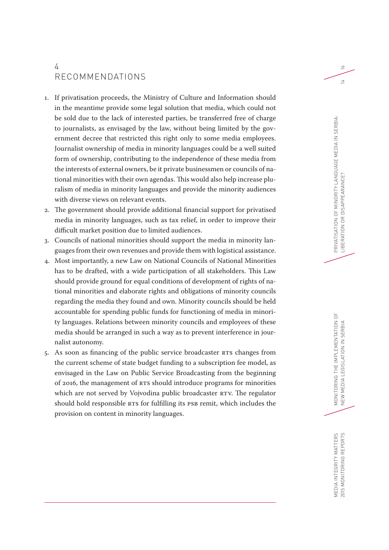### 4 RECOMMENDATIONS

- 1. If privatisation proceeds, the Ministry of Culture and Information should in the meantime provide some legal solution that media, which could not be sold due to the lack of interested parties, be transferred free of charge to journalists, as envisaged by the law, without being limited by the government decree that restricted this right only to some media employees. Journalist ownership of media in minority languages could be a well suited form of ownership, contributing to the independence of these media from the interests of external owners, be it private businessmen or councils of national minorities with their own agendas. This would also help increase pluralism of media in minority languages and provide the minority audiences with diverse views on relevant events.
- 2. The government should provide additional financial support for privatised media in minority languages, such as tax relief, in order to improve their difficult market position due to limited audiences.
- 3. Councils of national minorities should support the media in minority languages from their own revenues and provide them with logistical assistance.
- 4. Most importantly, a new Law on National Councils of National Minorities has to be drafted, with a wide participation of all stakeholders. This Law should provide ground for equal conditions of development of rights of national minorities and elaborate rights and obligations of minority councils regarding the media they found and own. Minority councils should be held accountable for spending public funds for functioning of media in minority languages. Relations between minority councils and employees of these media should be arranged in such a way as to prevent interference in journalist autonomy.
- 5. As soon as financing of the public service broadcaster RTS changes from the current scheme of state budget funding to a subscription fee model, as envisaged in the Law on Public Service Broadcasting from the beginning of 2016, the management of RTS should introduce programs for minorities which are not served by Vojvodina public broadcaster RTV. The regulator should hold responsible RTS for fulfilling its PSB remit, which includes the provision on content in minority languages.

 $\approx$ 

 $\overline{1}$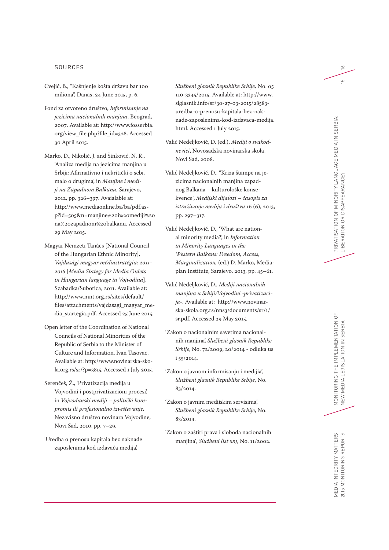#### SOURCES

- Cvejić, B., "Kašnjenje košta državu bar 100 miliona", Danas, 24 June 2015, p. 6.
- Fond za otvoreno društvo, *Informisanje na jezicima nacionalnih manjina*, Beograd, 2007. Available at: http://www.fosserbia. org/view\_file.php?file\_id=328. Accessed 30 April 2015.
- Marko, D., Nikolić, J. and Šinković, N. R., 'Analiza medija na jezicima manjina u Srbiji: Afirmativno i nekritički o sebi, malo o drugima', in *Manjine i medi ji na Zapadnom Balkanu*, Sarajevo, 2012, pp. 326–397. Avaialable at: http://www.mediaonline.ba/ba/pdf.as p?id=505&n=manjine%20i%20mediji%20 na%20zapadnom%20balkanu. Accessed 29 May 2015.
- Magyar Nemzeti Tanács [National Council of the Hungarian Ethnic Minority], *Vajdasági magyar médiastratégia: 2011- 2016*  [*Media Stategy for Media Oulets in Hungarian language in Vojvodina*], Szabadka/Subotica, 2011. Available at: http://www.mnt.org.rs/sites/default/ files/attachments/vajdasagi\_magyar\_me dia\_startegia.pdf. Accessed 25 June 2015.
- Open letter of the Coordination of National Councils of National Minorities of the Republic of Serbia to the Minister of Culture and Information, Ivan Tasovac, Available at: http://www.novinarska-sko la.org.rs/sr/?p=3815. Accessed 1 July 2015.
- Serenčeš, Ž., 'Privatizacija medija u Vojvodini i postprivatizacioni procesi', in *Vojvođanski mediji – politički kom promis ili profesionalno izveštavanje,*  Nezavisno društvo novinara Vojvodine, Novi Sad, 2010, pp. 7–29.
- 'Uredba o prenosu kapitala bez naknade zaposlenima kod izdavača medija',

*Službeni glasnik Republike Srbije,* No. 05 110-3345/2015. Available at: http://www. slglasnik.info/sr/30-27-03-2015/28583 uredba-o-prenosu-kapitala-bez-nak nade-zaposlenima-kod-izdavaca-medija. html. Accessed 1 July 2015.

- Valić Nedeljković, D. (ed.), *Mediji o svakod nevici*, Novosadska novinarska skola, Novi Sad, 2008.
- Valić Nedeljković, D., "Kriza štampe na je zicima nacionalnih manjina zapad nog Balkana – kulturološke konse kvence", *Medijski dijalozi – časopis za istraživanje medija i društva* 16 (6), 2013, pp. 297–317.
- Valić Nedeljković, D., 'What are nation al minority media?', in *Information in Minority Languages in the Western Balkans: Freedom, Access, Marginalization,* (ed.) D. Marko, Mediaplan Institute, Sarajevo, 2013, pp. 45–61.
- Valić Nedeljković, D., *Mediji nacionalnih manjina u Srbiji/Vojvodini -privatizaci ja*-. Available at: http://www.novinar ska-skola.org.rs/nns3/documents/sr/1/ sr.pdf. Accessed 29 May 2015.
- 'Zakon o nacionalnim savetima nacional nih manjina', *Službeni glasnik Republike Srbije*, No. 72/2009, 20/2014 - odluka us i 55/2014.
- 'Zakon o javnom informisanju i medijia'*, Službeni glasnik Republike Srbije*, No. 83/2014.
- 'Zakon o javnim medijskim servisima', *Službeni glasnik Republike Srbije*, No. 83/2014.
- 'Zakon o zaštiti prava i sloboda nacionalnih manjina', *Službeni list SRJ*, No. 11/2002.

 $\geq$ 

 $\overline{5}$